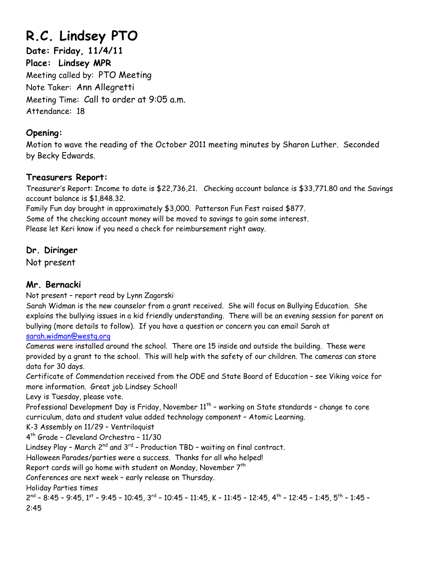# **R.C. Lindsey PTO**

**Date: Friday, 11/4/11 Place: Lindsey MPR**  Meeting called by: PTO Meeting Note Taker: Ann Allegretti Meeting Time: Call to order at 9:05 a.m. Attendance: 18

# **Opening:**

Motion to wave the reading of the October 2011 meeting minutes by Sharon Luther. Seconded by Becky Edwards.

# **Treasurers Report:**

Treasurer's Report: Income to date is \$22,736,21. Checking account balance is \$33,771.80 and the Savings account balance is \$1,848.32.

Family Fun day brought in approximately \$3,000. Patterson Fun Fest raised \$877.

Some of the checking account money will be moved to savings to gain some interest.

Please let Keri know if you need a check for reimbursement right away.

# **Dr. Diringer**

Not present

# **Mr. Bernacki**

Not present – report read by Lynn Zagorski

Sarah Widman is the new counselor from a grant received. She will focus on Bullying Education. She explains the bullying issues in a kid friendly understanding. There will be an evening session for parent on bullying (more details to follow). If you have a question or concern you can email Sarah at

[sarah.widman@westg.org](mailto:sarah.widman@westg.org)

Cameras were installed around the school. There are 15 inside and outside the building. These were provided by a grant to the school. This will help with the safety of our children. The cameras can store data for 30 days.

Certificate of Commendation received from the ODE and State Board of Education – see Viking voice for more information. Great job Lindsey School!

Levy is Tuesday, please vote.

Professional Development Day is Friday, November 11<sup>th</sup> - working on State standards - change to core curriculum, data and student value added technology component – Atomic Learning.

K-3 Assembly on 11/29 – Ventriloquist

4th Grade – Cleveland Orchestra – 11/30

Lindsey Play - March  $2^{nd}$  and  $3^{rd}$  - Production TBD - waiting on final contract.

Halloween Parades/parties were a success. Thanks for all who helped!

Report cards will go home with student on Monday, November  $7<sup>th</sup>$ 

Conferences are next week – early release on Thursday.

Holiday Parties times

 $2^{nd}$  – 8:45 – 9:45, 1<sup>st</sup> – 9:45 – 10:45, 3<sup>rd</sup> – 10:45 – 11:45, K – 11:45 – 12:45, 4<sup>th</sup> – 12:45 – 1:45, 5<sup>th</sup> – 1:45 – 2:45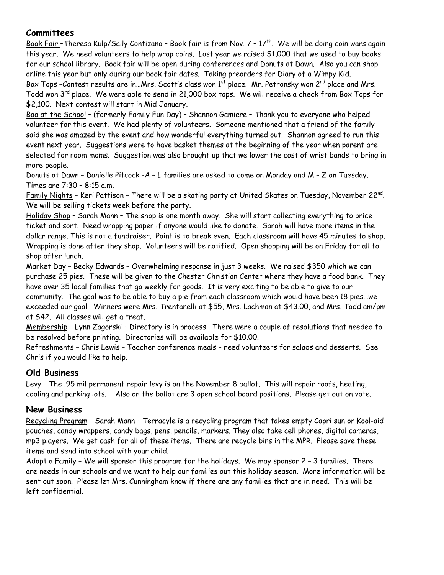### **Committees**

Book Fair -Theresa Kulp/Sally Contizano - Book fair is from Nov. 7 - 17<sup>th</sup>. We will be doing coin wars again this year. We need volunteers to help wrap coins. Last year we raised \$1,000 that we used to buy books for our school library. Book fair will be open during conferences and Donuts at Dawn. Also you can shop online this year but only during our book fair dates. Taking preorders for Diary of a Wimpy Kid. Box Tops –Contest results are in…Mrs. Scott's class won 1<sup>st</sup> place. Mr. Petronsky won 2<sup>nd</sup> place and Mrs. Todd won 3<sup>rd</sup> place. We were able to send in 21,000 box tops. We will receive a check from Box Tops for \$2,100. Next contest will start in Mid January.

Boo at the School – (formerly Family Fun Day) – Shannon Gamiere – Thank you to everyone who helped volunteer for this event. We had plenty of volunteers. Someone mentioned that a friend of the family said she was amazed by the event and how wonderful everything turned out. Shannon agreed to run this event next year. Suggestions were to have basket themes at the beginning of the year when parent are selected for room moms. Suggestion was also brought up that we lower the cost of wrist bands to bring in more people.

Donuts at Dawn – Danielle Pitcock -A – L families are asked to come on Monday and M – Z on Tuesday. Times are 7:30 – 8:15 a.m.

Family Nights – Keri Pattison – There will be a skating party at United Skates on Tuesday, November 22nd. We will be selling tickets week before the party.

Holiday Shop – Sarah Mann – The shop is one month away. She will start collecting everything to price ticket and sort. Need wrapping paper if anyone would like to donate. Sarah will have more items in the dollar range. This is not a fundraiser. Point is to break even. Each classroom will have 45 minutes to shop. Wrapping is done after they shop. Volunteers will be notified. Open shopping will be on Friday for all to shop after lunch.

Market Day – Becky Edwards – Overwhelming response in just 3 weeks. We raised \$350 which we can purchase 25 pies. These will be given to the Chester Christian Center where they have a food bank. They have over 35 local families that go weekly for goods. It is very exciting to be able to give to our community. The goal was to be able to buy a pie from each classroom which would have been 18 pies…we exceeded our goal. Winners were Mrs. Trentanelli at \$55, Mrs. Lachman at \$43.00, and Mrs. Todd am/pm at \$42. All classes will get a treat.

Membership – Lynn Zagorski – Directory is in process. There were a couple of resolutions that needed to be resolved before printing. Directories will be available for \$10.00.

Refreshments – Chris Lewis – Teacher conference meals – need volunteers for salads and desserts. See Chris if you would like to help.

### **Old Business**

Levy – The .95 mil permanent repair levy is on the November 8 ballot. This will repair roofs, heating, cooling and parking lots. Also on the ballot are 3 open school board positions. Please get out on vote.

### **New Business**

Recycling Program – Sarah Mann – Terracyle is a recycling program that takes empty Capri sun or Kool-aid pouches, candy wrappers, candy bags, pens, pencils, markers. They also take cell phones, digital cameras, mp3 players. We get cash for all of these items. There are recycle bins in the MPR. Please save these items and send into school with your child.

Adopt a Family – We will sponsor this program for the holidays. We may sponsor 2 – 3 families. There are needs in our schools and we want to help our families out this holiday season. More information will be sent out soon. Please let Mrs. Cunningham know if there are any families that are in need. This will be left confidential.